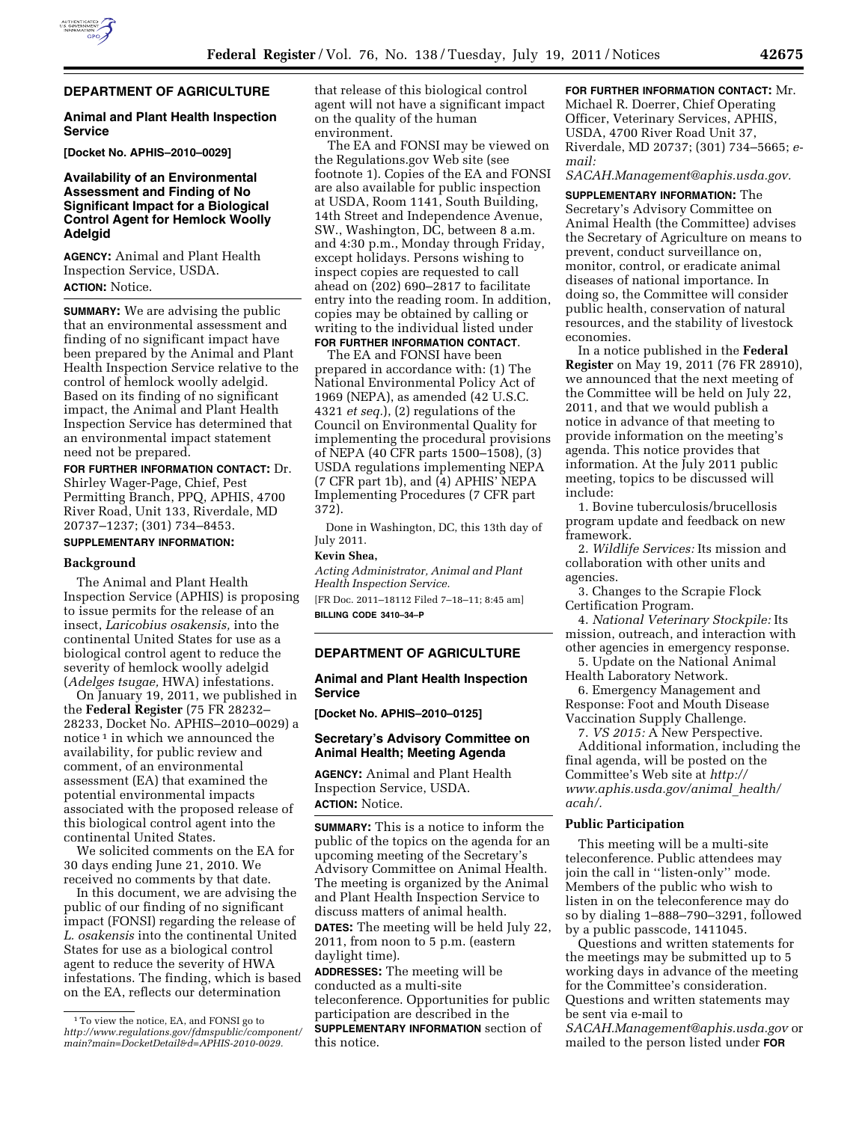# **DEPARTMENT OF AGRICULTURE**

### **Animal and Plant Health Inspection Service**

**[Docket No. APHIS–2010–0029]** 

# **Availability of an Environmental Assessment and Finding of No Significant Impact for a Biological Control Agent for Hemlock Woolly Adelgid**

**AGENCY:** Animal and Plant Health Inspection Service, USDA. **ACTION:** Notice.

**SUMMARY:** We are advising the public that an environmental assessment and finding of no significant impact have been prepared by the Animal and Plant Health Inspection Service relative to the control of hemlock woolly adelgid. Based on its finding of no significant impact, the Animal and Plant Health Inspection Service has determined that an environmental impact statement need not be prepared.

**FOR FURTHER INFORMATION CONTACT:** Dr. Shirley Wager-Page, Chief, Pest Permitting Branch, PPQ, APHIS, 4700 River Road, Unit 133, Riverdale, MD 20737–1237; (301) 734–8453.

# **SUPPLEMENTARY INFORMATION:**

#### **Background**

The Animal and Plant Health Inspection Service (APHIS) is proposing to issue permits for the release of an insect, *Laricobius osakensis,* into the continental United States for use as a biological control agent to reduce the severity of hemlock woolly adelgid (*Adelges tsugae,* HWA) infestations.

On January 19, 2011, we published in the **Federal Register** (75 FR 28232– 28233, Docket No. APHIS–2010–0029) a notice 1 in which we announced the availability, for public review and comment, of an environmental assessment (EA) that examined the potential environmental impacts associated with the proposed release of this biological control agent into the continental United States.

We solicited comments on the EA for 30 days ending June 21, 2010. We received no comments by that date.

In this document, we are advising the public of our finding of no significant impact (FONSI) regarding the release of *L. osakensis* into the continental United States for use as a biological control agent to reduce the severity of HWA infestations. The finding, which is based on the EA, reflects our determination

that release of this biological control agent will not have a significant impact on the quality of the human environment.

The EA and FONSI may be viewed on the Regulations.gov Web site (see footnote 1). Copies of the EA and FONSI are also available for public inspection at USDA, Room 1141, South Building, 14th Street and Independence Avenue, SW., Washington, DC, between 8 a.m. and 4:30 p.m., Monday through Friday, except holidays. Persons wishing to inspect copies are requested to call ahead on (202) 690–2817 to facilitate entry into the reading room. In addition, copies may be obtained by calling or writing to the individual listed under **FOR FURTHER INFORMATION CONTACT**.

The EA and FONSI have been prepared in accordance with: (1) The National Environmental Policy Act of 1969 (NEPA), as amended (42 U.S.C. 4321 *et seq.*), (2) regulations of the Council on Environmental Quality for implementing the procedural provisions of NEPA (40 CFR parts 1500–1508), (3) USDA regulations implementing NEPA (7 CFR part 1b), and (4) APHIS' NEPA Implementing Procedures (7 CFR part 372).

Done in Washington, DC, this 13th day of July 2011.

### **Kevin Shea,**

*Acting Administrator, Animal and Plant Health Inspection Service.* 

[FR Doc. 2011–18112 Filed 7–18–11; 8:45 am] **BILLING CODE 3410–34–P** 

## **DEPARTMENT OF AGRICULTURE**

## **Animal and Plant Health Inspection Service**

**[Docket No. APHIS–2010–0125]** 

## **Secretary's Advisory Committee on Animal Health; Meeting Agenda**

**AGENCY:** Animal and Plant Health Inspection Service, USDA. **ACTION:** Notice.

**SUMMARY:** This is a notice to inform the public of the topics on the agenda for an upcoming meeting of the Secretary's Advisory Committee on Animal Health. The meeting is organized by the Animal and Plant Health Inspection Service to discuss matters of animal health. **DATES:** The meeting will be held July 22,

2011, from noon to 5 p.m. (eastern daylight time).

**ADDRESSES:** The meeting will be conducted as a multi-site teleconference. Opportunities for public participation are described in the **SUPPLEMENTARY INFORMATION** section of this notice.

**FOR FURTHER INFORMATION CONTACT:** Mr. Michael R. Doerrer, Chief Operating Officer, Veterinary Services, APHIS, USDA, 4700 River Road Unit 37, Riverdale, MD 20737; (301) 734–5665; *email:* 

*SACAH.Management@aphis.usda.gov.* 

**SUPPLEMENTARY INFORMATION:** The Secretary's Advisory Committee on Animal Health (the Committee) advises the Secretary of Agriculture on means to prevent, conduct surveillance on, monitor, control, or eradicate animal diseases of national importance. In doing so, the Committee will consider public health, conservation of natural resources, and the stability of livestock economies.

In a notice published in the **Federal Register** on May 19, 2011 (76 FR 28910), we announced that the next meeting of the Committee will be held on July 22, 2011, and that we would publish a notice in advance of that meeting to provide information on the meeting's agenda. This notice provides that information. At the July 2011 public meeting, topics to be discussed will include:

1. Bovine tuberculosis/brucellosis program update and feedback on new framework.

2. *Wildlife Services:* Its mission and collaboration with other units and agencies.

3. Changes to the Scrapie Flock Certification Program.

4. *National Veterinary Stockpile:* Its mission, outreach, and interaction with other agencies in emergency response.

5. Update on the National Animal Health Laboratory Network.

6. Emergency Management and Response: Foot and Mouth Disease Vaccination Supply Challenge.

7. *VS 2015:* A New Perspective.

Additional information, including the final agenda, will be posted on the Committee's Web site at *http:// www.aphis.usda.gov/animal*\_*health/ acah/.* 

## **Public Participation**

This meeting will be a multi-site teleconference. Public attendees may join the call in ''listen-only'' mode. Members of the public who wish to listen in on the teleconference may do so by dialing 1–888–790–3291, followed by a public passcode, 1411045.

Questions and written statements for the meetings may be submitted up to 5 working days in advance of the meeting for the Committee's consideration. Questions and written statements may be sent via e-mail to

*SACAH.Management@aphis.usda.gov* or mailed to the person listed under **FOR**

<sup>1</sup>To view the notice, EA, and FONSI go to *http://www.regulations.gov/fdmspublic/component/ main?main=DocketDetail&d=APHIS-2010-0029.*